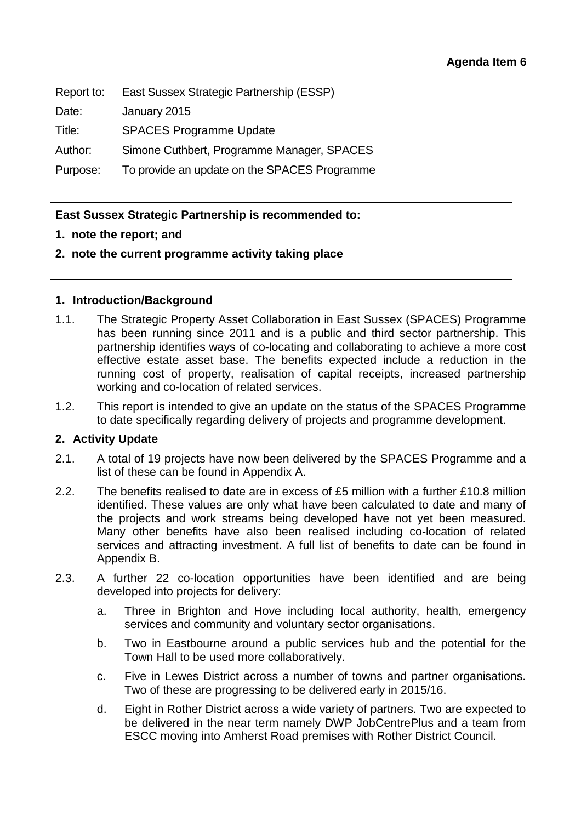Report to: East Sussex Strategic Partnership (ESSP)

Date: January 2015

Title: SPACES Programme Update

Author: Simone Cuthbert, Programme Manager, SPACES

Purpose: To provide an update on the SPACES Programme

# **East Sussex Strategic Partnership is recommended to:**

## **1. note the report; and**

## **2. note the current programme activity taking place**

## **1. Introduction/Background**

- 1.1. The Strategic Property Asset Collaboration in East Sussex (SPACES) Programme has been running since 2011 and is a public and third sector partnership. This partnership identifies ways of co-locating and collaborating to achieve a more cost effective estate asset base. The benefits expected include a reduction in the running cost of property, realisation of capital receipts, increased partnership working and co-location of related services.
- 1.2. This report is intended to give an update on the status of the SPACES Programme to date specifically regarding delivery of projects and programme development.

#### **2. Activity Update**

- 2.1. A total of 19 projects have now been delivered by the SPACES Programme and a list of these can be found in Appendix A.
- 2.2. The benefits realised to date are in excess of £5 million with a further £10.8 million identified. These values are only what have been calculated to date and many of the projects and work streams being developed have not yet been measured. Many other benefits have also been realised including co-location of related services and attracting investment. A full list of benefits to date can be found in Appendix B.
- 2.3. A further 22 co-location opportunities have been identified and are being developed into projects for delivery:
	- a. Three in Brighton and Hove including local authority, health, emergency services and community and voluntary sector organisations.
	- b. Two in Eastbourne around a public services hub and the potential for the Town Hall to be used more collaboratively.
	- c. Five in Lewes District across a number of towns and partner organisations. Two of these are progressing to be delivered early in 2015/16.
	- d. Eight in Rother District across a wide variety of partners. Two are expected to be delivered in the near term namely DWP JobCentrePlus and a team from ESCC moving into Amherst Road premises with Rother District Council.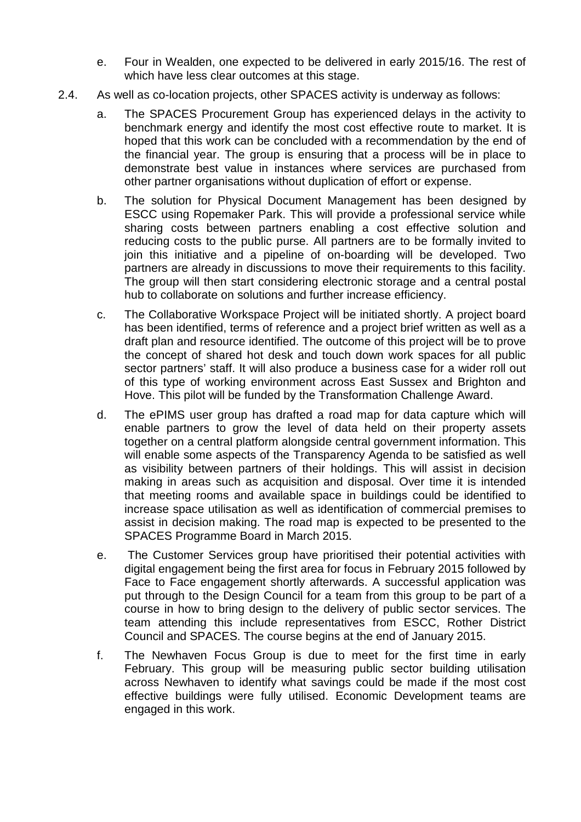- e. Four in Wealden, one expected to be delivered in early 2015/16. The rest of which have less clear outcomes at this stage.
- 2.4. As well as co-location projects, other SPACES activity is underway as follows:
	- a. The SPACES Procurement Group has experienced delays in the activity to benchmark energy and identify the most cost effective route to market. It is hoped that this work can be concluded with a recommendation by the end of the financial year. The group is ensuring that a process will be in place to demonstrate best value in instances where services are purchased from other partner organisations without duplication of effort or expense.
	- b. The solution for Physical Document Management has been designed by ESCC using Ropemaker Park. This will provide a professional service while sharing costs between partners enabling a cost effective solution and reducing costs to the public purse. All partners are to be formally invited to join this initiative and a pipeline of on-boarding will be developed. Two partners are already in discussions to move their requirements to this facility. The group will then start considering electronic storage and a central postal hub to collaborate on solutions and further increase efficiency.
	- c. The Collaborative Workspace Project will be initiated shortly. A project board has been identified, terms of reference and a project brief written as well as a draft plan and resource identified. The outcome of this project will be to prove the concept of shared hot desk and touch down work spaces for all public sector partners' staff. It will also produce a business case for a wider roll out of this type of working environment across East Sussex and Brighton and Hove. This pilot will be funded by the Transformation Challenge Award.
	- d. The ePIMS user group has drafted a road map for data capture which will enable partners to grow the level of data held on their property assets together on a central platform alongside central government information. This will enable some aspects of the Transparency Agenda to be satisfied as well as visibility between partners of their holdings. This will assist in decision making in areas such as acquisition and disposal. Over time it is intended that meeting rooms and available space in buildings could be identified to increase space utilisation as well as identification of commercial premises to assist in decision making. The road map is expected to be presented to the SPACES Programme Board in March 2015.
	- e. The Customer Services group have prioritised their potential activities with digital engagement being the first area for focus in February 2015 followed by Face to Face engagement shortly afterwards. A successful application was put through to the Design Council for a team from this group to be part of a course in how to bring design to the delivery of public sector services. The team attending this include representatives from ESCC, Rother District Council and SPACES. The course begins at the end of January 2015.
	- f. The Newhaven Focus Group is due to meet for the first time in early February. This group will be measuring public sector building utilisation across Newhaven to identify what savings could be made if the most cost effective buildings were fully utilised. Economic Development teams are engaged in this work.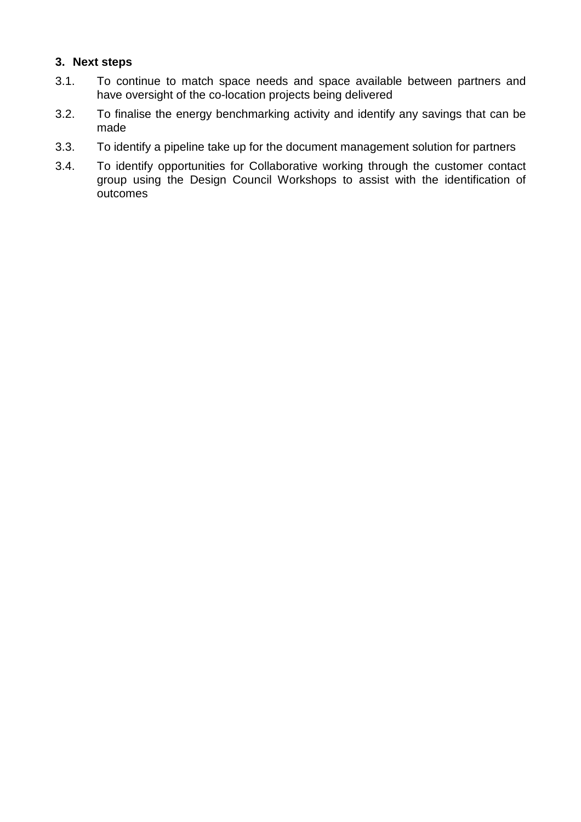## **3. Next steps**

- 3.1. To continue to match space needs and space available between partners and have oversight of the co-location projects being delivered
- 3.2. To finalise the energy benchmarking activity and identify any savings that can be made
- 3.3. To identify a pipeline take up for the document management solution for partners
- 3.4. To identify opportunities for Collaborative working through the customer contact group using the Design Council Workshops to assist with the identification of outcomes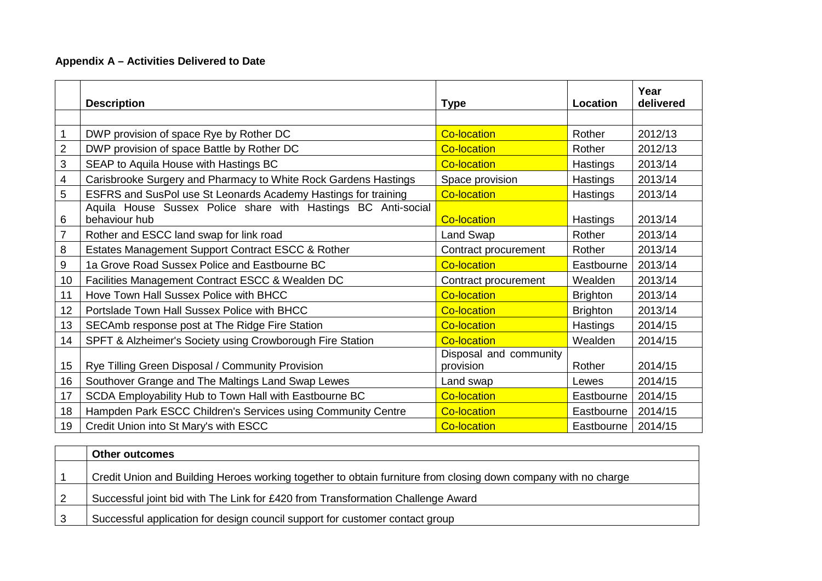### **Appendix A – Activities Delivered to Date**

|                | <b>Description</b>                                                             | <b>Type</b>                         | Location        | Year<br>delivered |
|----------------|--------------------------------------------------------------------------------|-------------------------------------|-----------------|-------------------|
|                |                                                                                |                                     |                 |                   |
|                | DWP provision of space Rye by Rother DC                                        | <b>Co-location</b>                  | Rother          | 2012/13           |
| $\overline{2}$ | DWP provision of space Battle by Rother DC                                     | <b>Co-location</b>                  | Rother          | 2012/13           |
| 3              | SEAP to Aquila House with Hastings BC                                          | <b>Co-location</b>                  | Hastings        | 2013/14           |
| 4              | Carisbrooke Surgery and Pharmacy to White Rock Gardens Hastings                | Space provision                     | Hastings        | 2013/14           |
| 5              | ESFRS and SusPol use St Leonards Academy Hastings for training                 | <b>Co-location</b>                  | Hastings        | 2013/14           |
| 6              | Aquila House Sussex Police share with Hastings BC Anti-social<br>behaviour hub | <b>Co-location</b>                  | Hastings        | 2013/14           |
| $\overline{7}$ | Rother and ESCC land swap for link road                                        | Land Swap                           | Rother          | 2013/14           |
| 8              | Estates Management Support Contract ESCC & Rother                              | Contract procurement                | Rother          | 2013/14           |
| 9              | 1a Grove Road Sussex Police and Eastbourne BC                                  | <b>Co-location</b>                  | Eastbourne      | 2013/14           |
| 10             | Facilities Management Contract ESCC & Wealden DC                               | Contract procurement                | Wealden         | 2013/14           |
| 11             | Hove Town Hall Sussex Police with BHCC                                         | <b>Co-location</b>                  | <b>Brighton</b> | 2013/14           |
| 12             | Portslade Town Hall Sussex Police with BHCC                                    | <b>Co-location</b>                  | <b>Brighton</b> | 2013/14           |
| 13             | SECAmb response post at The Ridge Fire Station                                 | <b>Co-location</b>                  | Hastings        | 2014/15           |
| 14             | SPFT & Alzheimer's Society using Crowborough Fire Station                      | <b>Co-location</b>                  | Wealden         | 2014/15           |
| 15             | Rye Tilling Green Disposal / Community Provision                               | Disposal and community<br>provision | Rother          | 2014/15           |
| 16             | Southover Grange and The Maltings Land Swap Lewes                              | Land swap                           | Lewes           | 2014/15           |
| 17             | SCDA Employability Hub to Town Hall with Eastbourne BC                         | <b>Co-location</b>                  | Eastbourne      | 2014/15           |
| 18             | Hampden Park ESCC Children's Services using Community Centre                   | <b>Co-location</b>                  | Eastbourne      | 2014/15           |
| 19             | Credit Union into St Mary's with ESCC                                          | <b>Co-location</b>                  | Eastbourne      | 2014/15           |

| <b>Other outcomes</b>                                                                                          |
|----------------------------------------------------------------------------------------------------------------|
| Credit Union and Building Heroes working together to obtain furniture from closing down company with no charge |
| Successful joint bid with The Link for £420 from Transformation Challenge Award                                |
| Successful application for design council support for customer contact group                                   |